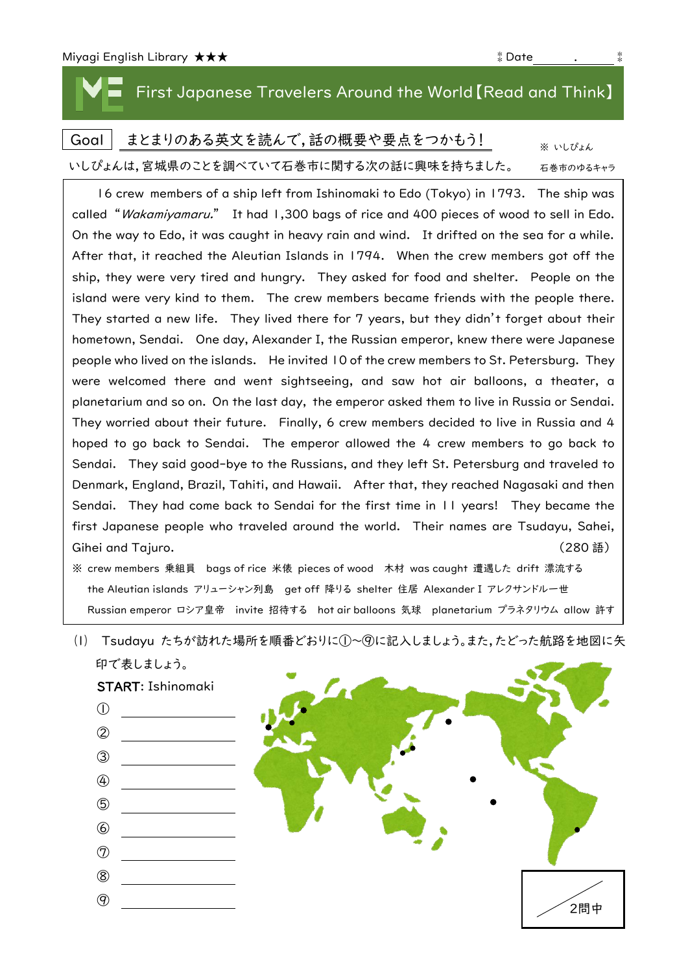## First Japanese Travelers Around the World【Read and Think】

|                                         | Goal   まとまりのある英文を読んで,話の概要や要点をつかもう! | ※ いしぴょん   |
|-----------------------------------------|------------------------------------|-----------|
| いしぴょんは、宮城県のことを調べていて石巻市に関する次の話に興味を持ちました。 |                                    | 石巻市のゆるキャラ |

16 crew members of a ship left from Ishinomaki to Edo (Tokyo) in 1793. The ship was called "Wakamiyamaru." It had 1,300 bags of rice and 400 pieces of wood to sell in Edo. On the way to Edo, it was caught in heavy rain and wind. It drifted on the sea for a while. After that, it reached the Aleutian Islands in 1794. When the crew members got off the ship, they were very tired and hungry. They asked for food and shelter. People on the island were very kind to them. The crew members became friends with the people there. They started a new life. They lived there for 7 years, but they didn't forget about their hometown, Sendai. One day, Alexander I, the Russian emperor, knew there were Japanese people who lived on the islands. He invited 10 of the crew members to St. Petersburg. They were welcomed there and went sightseeing, and saw hot air balloons, a theater, a planetarium and so on. On the last day, the emperor asked them to live in Russia or Sendai. They worried about their future. Finally, 6 crew members decided to live in Russia and 4 hoped to go back to Sendai. The emperor allowed the 4 crew members to go back to Sendai. They said good-bye to the Russians, and they left St. Petersburg and traveled to Denmark, England, Brazil, Tahiti, and Hawaii. After that, they reached Nagasaki and then Sendai. They had come back to Sendai for the first time in 11 years! They became the first Japanese people who traveled around the world. Their names are Tsudayu, Sahei, Gihei and Tajuro. (280 語)

※ crew members 乗組員 bags of rice 米俵 pieces of wood 木材 was caught 遭遇した drift 漂流する the Aleutian islands アリューシャン列島 get off 降りる shelter 住居 Alexander I アレクサンドル一世 Russian emperor ロシア皇帝 invite 招待する hot air balloons 気球 planetarium プラネタリウム allow 許す

⑴ Tsudayu たちが訪れた場所を順番どおりに①~⑨に記入しましょう。また,たどった航路を地図に矢 印で表しましょう。